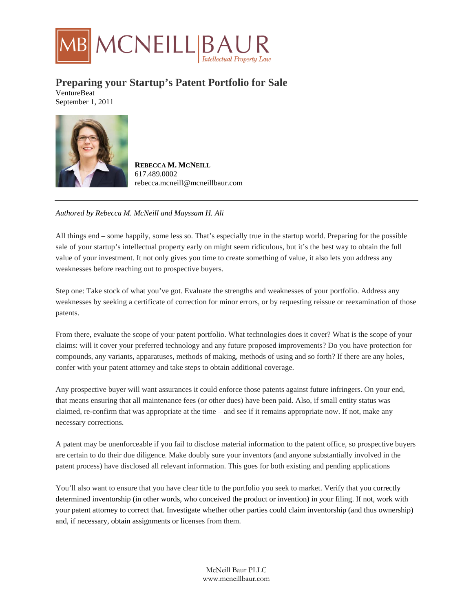

## **Preparing your Startup's Patent Portfolio for Sale**

VentureBeat September 1, 2011



**REBECCA M. MCNEILL** 617.489.0002 rebecca.mcneill@mcneillbaur.com

## *Authored by Rebecca M. McNeill and Mayssam H. Ali*

All things end – some happily, some less so. That's especially true in the startup world. Preparing for the possible sale of your startup's intellectual property early on might seem ridiculous, but it's the best way to obtain the full value of your investment. It not only gives you time to create something of value, it also lets you address any weaknesses before reaching out to prospective buyers.

Step one: Take stock of what you've got. Evaluate the strengths and weaknesses of your portfolio. Address any weaknesses by seeking a certificate of correction for minor errors, or by requesting reissue or reexamination of those patents.

From there, evaluate the scope of your patent portfolio. What technologies does it cover? What is the scope of your claims: will it cover your preferred technology and any future proposed improvements? Do you have protection for compounds, any variants, apparatuses, methods of making, methods of using and so forth? If there are any holes, confer with your patent attorney and take steps to obtain additional coverage.

Any prospective buyer will want assurances it could enforce those patents against future infringers. On your end, that means ensuring that all maintenance fees (or other dues) have been paid. Also, if small entity status was claimed, re-confirm that was appropriate at the time – and see if it remains appropriate now. If not, make any necessary corrections.

A patent may be unenforceable if you fail to disclose material information to the patent office, so prospective buyers are certain to do their due diligence. Make doubly sure your inventors (and anyone substantially involved in the patent process) have disclosed all relevant information. This goes for both existing and pending applications

You'll also want to ensure that you have clear title to the portfolio you seek to market. Verify that you correctly determined inventorship (in other words, who conceived the product or invention) in your filing. If not, work with your patent attorney to correct that. Investigate whether other parties could claim inventorship (and thus ownership) and, if necessary, obtain assignments or licenses from them.